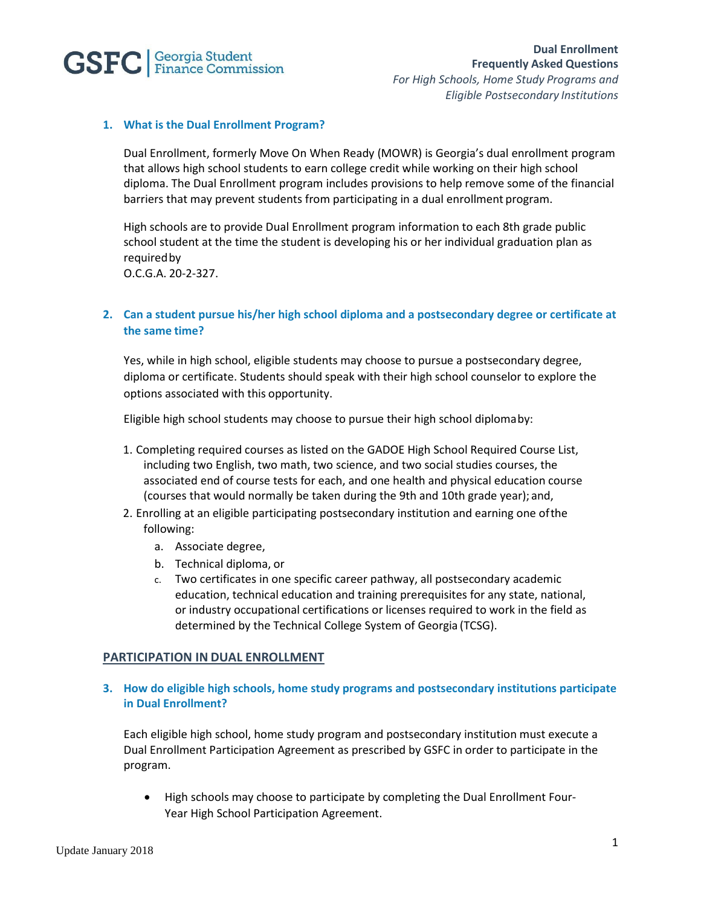

### **1. What is the Dual Enrollment Program?**

Dual Enrollment, formerly Move On When Ready (MOWR) is Georgia's dual enrollment program that allows high school students to earn college credit while working on their high school diploma. The Dual Enrollment program includes provisions to help remove some of the financial barriers that may prevent students from participating in a dual enrollment program.

High schools are to provide Dual Enrollment program information to each 8th grade public school student at the time the student is developing his or her individual graduation plan as requiredby

O.C.G.A. 20-2-327.

# **2. Can a student pursue his/her high school diploma and a postsecondary degree or certificate at the same time?**

Yes, while in high school, eligible students may choose to pursue a postsecondary degree, diploma or certificate. Students should speak with their high school counselor to explore the options associated with this opportunity.

Eligible high school students may choose to pursue their high school diplomaby:

- 1. Completing required courses as listed on the GADOE High School Required Course List, including two English, two math, two science, and two social studies courses, the associated end of course tests for each, and one health and physical education course (courses that would normally be taken during the 9th and 10th grade year); and,
- 2. Enrolling at an eligible participating postsecondary institution and earning one ofthe following:
	- a. Associate degree,
	- b. Technical diploma, or
	- c. Two certificates in one specific career pathway, all postsecondary academic education, technical education and training prerequisites for any state, national, or industry occupational certifications or licenses required to work in the field as determined by the Technical College System of Georgia (TCSG).

#### **PARTICIPATION IN DUAL ENROLLMENT**

## **3. How do eligible high schools, home study programs and postsecondary institutions participate in Dual Enrollment?**

Each eligible high school, home study program and postsecondary institution must execute a Dual Enrollment Participation Agreement as prescribed by GSFC in order to participate in the program.

• High schools may choose to participate by completing the Dual Enrollment Four-Year High School Participation Agreement.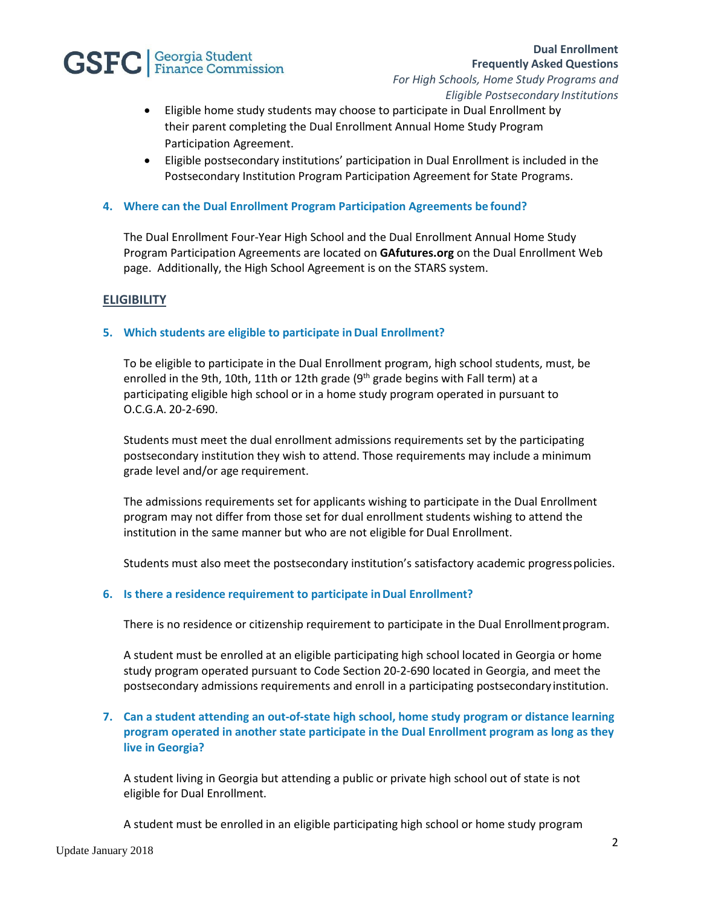

- Eligible home study students may choose to participate in Dual Enrollment by their parent completing the Dual Enrollment Annual Home Study Program Participation Agreement.
- Eligible postsecondary institutions' participation in Dual Enrollment is included in the Postsecondary Institution Program Participation Agreement for State Programs.

### **4. Where can the Dual Enrollment Program Participation Agreements be found?**

The Dual Enrollment Four-Year High School and the Dual Enrollment Annual Home Study Program Participation Agreements are located on **GAfutures.org** on the Dual Enrollment Web page. Additionally, the High School Agreement is on the STARS system.

## **ELIGIBILITY**

#### **5. Which students are eligible to participate inDual Enrollment?**

To be eligible to participate in the Dual Enrollment program, high school students, must, be enrolled in the 9th, 10th, 11th or 12th grade  $(9<sup>th</sup>$  grade begins with Fall term) at a participating eligible high school or in a home study program operated in pursuant to O.C.G.A. 20-2-690.

Students must meet the dual enrollment admissions requirements set by the participating postsecondary institution they wish to attend. Those requirements may include a minimum grade level and/or age requirement.

The admissions requirements set for applicants wishing to participate in the Dual Enrollment program may not differ from those set for dual enrollment students wishing to attend the institution in the same manner but who are not eligible for Dual Enrollment.

Students must also meet the postsecondary institution's satisfactory academic progresspolicies.

#### **6. Is there a residence requirement to participate inDual Enrollment?**

There is no residence or citizenship requirement to participate in the Dual Enrollment program.

A student must be enrolled at an eligible participating high school located in Georgia or home study program operated pursuant to Code Section 20-2-690 located in Georgia, and meet the postsecondary admissions requirements and enroll in a participating postsecondary institution.

## **7. Can a student attending an out-of-state high school, home study program or distance learning program operated in another state participate in the Dual Enrollment program as long as they live in Georgia?**

A student living in Georgia but attending a public or private high school out of state is not eligible for Dual Enrollment.

A student must be enrolled in an eligible participating high school or home study program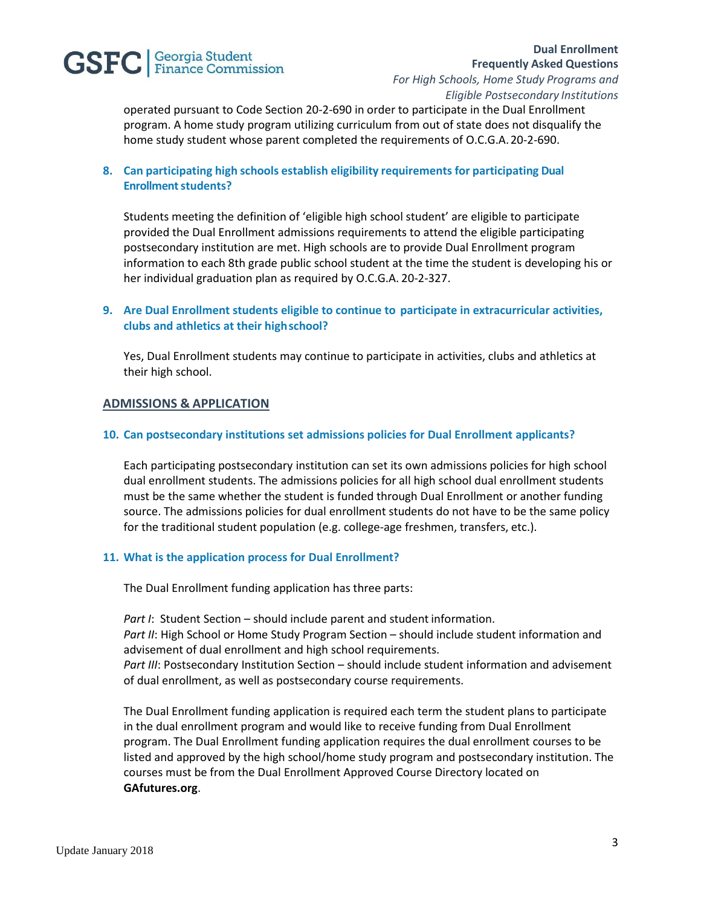# **GSFC** *Seorgia* Student

operated pursuant to Code Section 20-2-690 in order to participate in the Dual Enrollment program. A home study program utilizing curriculum from out of state does not disqualify the home study student whose parent completed the requirements of O.C.G.A. 20-2-690.

# **8. Can participating high schools establish eligibility requirements for participating Dual Enrollment students?**

Students meeting the definition of 'eligible high school student' are eligible to participate provided the Dual Enrollment admissions requirements to attend the eligible participating postsecondary institution are met. High schools are to provide Dual Enrollment program information to each 8th grade public school student at the time the student is developing his or her individual graduation plan as required by O.C.G.A. 20-2-327.

## **9. Are Dual Enrollment students eligible to continue to participate in extracurricular activities, clubs and athletics at their highschool?**

Yes, Dual Enrollment students may continue to participate in activities, clubs and athletics at their high school.

#### **ADMISSIONS & APPLICATION**

#### **10. Can postsecondary institutions set admissions policies for Dual Enrollment applicants?**

Each participating postsecondary institution can set its own admissions policies for high school dual enrollment students. The admissions policies for all high school dual enrollment students must be the same whether the student is funded through Dual Enrollment or another funding source. The admissions policies for dual enrollment students do not have to be the same policy for the traditional student population (e.g. college-age freshmen, transfers, etc.).

#### **11. What is the application process for Dual Enrollment?**

The Dual Enrollment funding application has three parts:

*Part I*: Student Section – should include parent and student information. Part II: High School or Home Study Program Section – should include student information and advisement of dual enrollment and high school requirements. *Part III*: Postsecondary Institution Section – should include student information and advisement of dual enrollment, as well as postsecondary course requirements.

The Dual Enrollment funding application is required each term the student plans to participate in the dual enrollment program and would like to receive funding from Dual Enrollment program. The Dual Enrollment funding application requires the dual enrollment courses to be listed and approved by the high school/home study program and postsecondary institution. The courses must be from the Dual Enrollment Approved Course Directory located on **GAfutures.org**.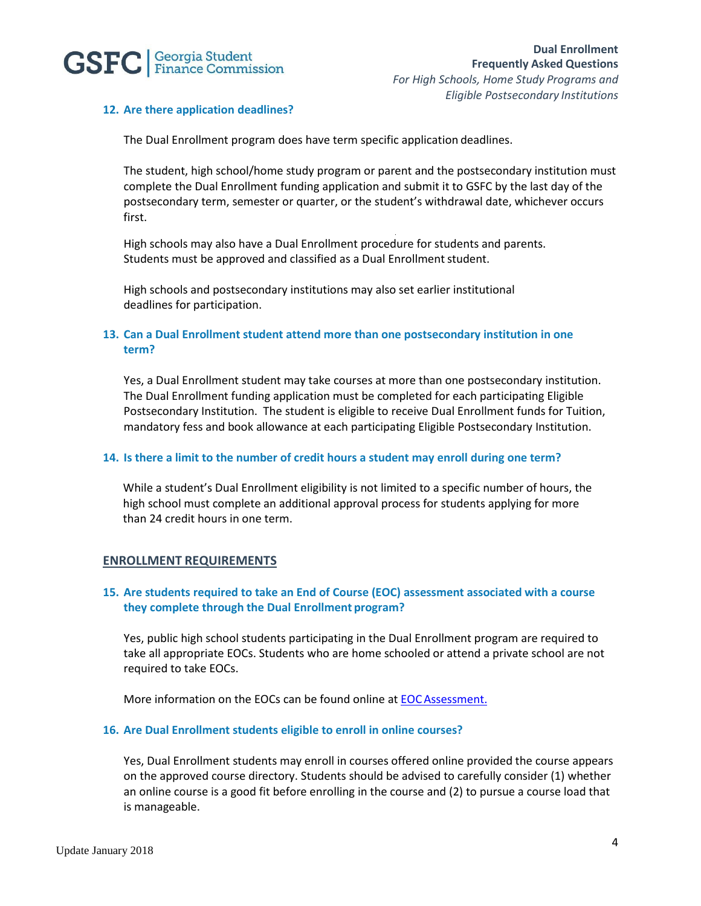

#### **12. Are there application deadlines?**

The Dual Enrollment program does have term specific application deadlines.

The student, high school/home study program or parent and the postsecondary institution must complete the Dual Enrollment funding application and submit it to GSFC by the last day of the postsecondary term, semester or quarter, or the student's withdrawal date, whichever occurs first.

High schools may also have a Dual Enrollment procedure for students and parents. Students must be approved and classified as a Dual Enrollment student.

High schools and postsecondary institutions may also set earlier institutional deadlines for participation.

#### **13. Can a Dual Enrollment student attend more than one postsecondary institution in one term?**

Yes, a Dual Enrollment student may take courses at more than one postsecondary institution. The Dual Enrollment funding application must be completed for each participating Eligible Postsecondary Institution. The student is eligible to receive Dual Enrollment funds for Tuition, mandatory fess and book allowance at each participating Eligible Postsecondary Institution.

#### **14. Is there a limit to the number of credit hours a student may enroll during one term?**

While a student's Dual Enrollment eligibility is not limited to a specific number of hours, the high school must complete an additional approval process for students applying for more than 24 credit hours in one term.

#### **ENROLLMENT REQUIREMENTS**

### **15. Are students required to take an End of Course (EOC) assessment associated with a course they complete through the Dual Enrollment program?**

Yes, public high school students participating in the Dual Enrollment program are required to take all appropriate EOCs. Students who are home schooled or attend a private school are not required to take EOCs.

More information on the EOCs can be found online at [EOCAssessment.](http://www.gadoe.org/Curriculum-Instruction-and-Assessment/Assessment/Pages/Georgia-Milestones-Assessment-System.aspx)

#### **16. Are Dual Enrollment students eligible to enroll in online courses?**

Yes, Dual Enrollment students may enroll in courses offered online provided the course appears on the approved course directory. Students should be advised to carefully consider (1) whether an online course is a good fit before enrolling in the course and (2) to pursue a course load that is manageable.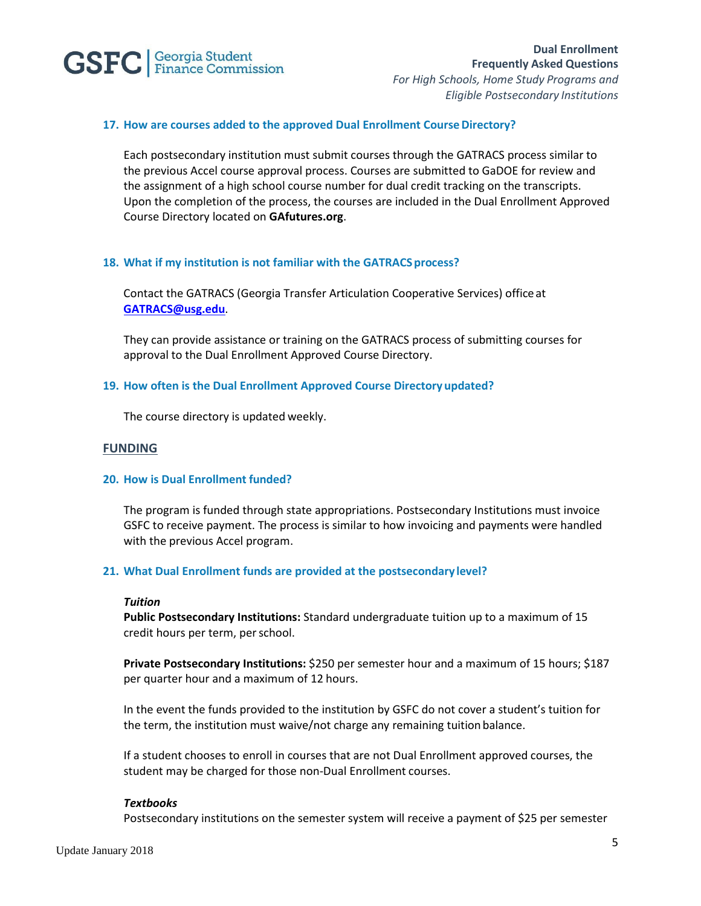

### **17. How are courses added to the approved Dual Enrollment CourseDirectory?**

Each postsecondary institution must submit courses through the GATRACS process similar to the previous Accel course approval process. Courses are submitted to GaDOE for review and the assignment of a high school course number for dual credit tracking on the transcripts. Upon the completion of the process, the courses are included in the Dual Enrollment Approved Course Directory located on **GAfutures.org**.

#### 18. What if my institution is not familiar with the GATRACS process?

Contact the GATRACS (Georgia Transfer Articulation Cooperative Services) officeat **[GATRACS@usg.edu](mailto:GATRACS@usg.edu)**.

They can provide assistance or training on the GATRACS process of submitting courses for approval to the Dual Enrollment Approved Course Directory.

#### **19. How often is the Dual Enrollment Approved Course Directory updated?**

The course directory is updated weekly.

### **FUNDING**

#### **20. How is Dual Enrollment funded?**

The program is funded through state appropriations. Postsecondary Institutions must invoice GSFC to receive payment. The process is similar to how invoicing and payments were handled with the previous Accel program.

#### **21. What Dual Enrollment funds are provided at the postsecondary level?**

#### *Tuition*

**Public Postsecondary Institutions:** Standard undergraduate tuition up to a maximum of 15 credit hours per term, perschool.

**Private Postsecondary Institutions:** \$250 per semester hour and a maximum of 15 hours; \$187 per quarter hour and a maximum of 12 hours.

In the event the funds provided to the institution by GSFC do not cover a student's tuition for the term, the institution must waive/not charge any remaining tuitionbalance.

If a student chooses to enroll in courses that are not Dual Enrollment approved courses, the student may be charged for those non-Dual Enrollment courses.

#### *Textbooks*

Postsecondary institutions on the semester system will receive a payment of \$25 per semester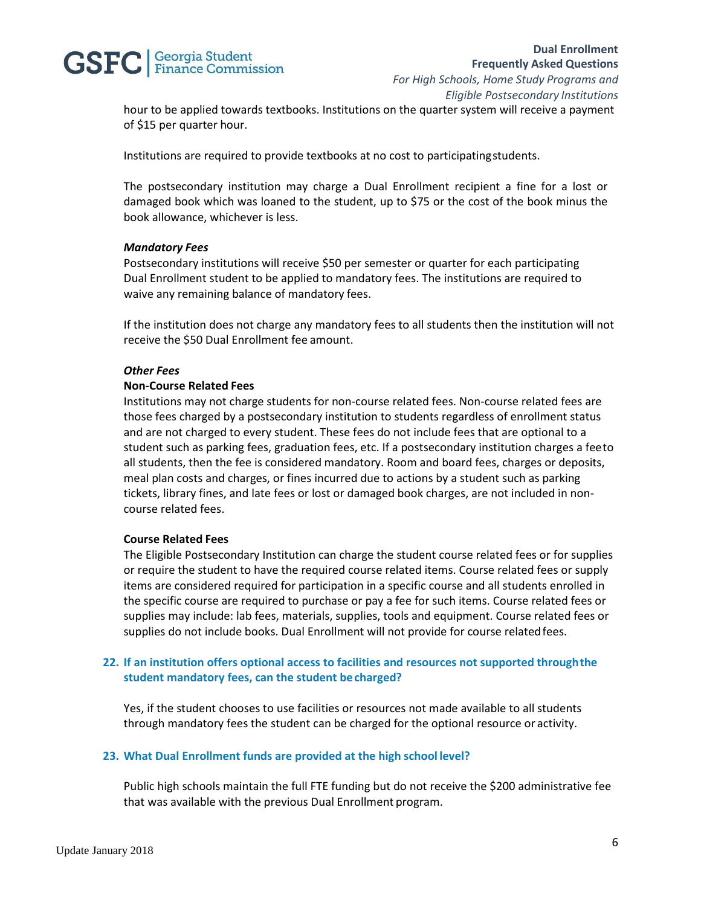# **GSFC** | Georgia Student

hour to be applied towards textbooks. Institutions on the quarter system will receive a payment of \$15 per quarter hour.

Institutions are required to provide textbooks at no cost to participatingstudents.

The postsecondary institution may charge a Dual Enrollment recipient a fine for a lost or damaged book which was loaned to the student, up to \$75 or the cost of the book minus the book allowance, whichever is less.

#### *Mandatory Fees*

Postsecondary institutions will receive \$50 per semester or quarter for each participating Dual Enrollment student to be applied to mandatory fees. The institutions are required to waive any remaining balance of mandatory fees.

If the institution does not charge any mandatory fees to all students then the institution will not receive the \$50 Dual Enrollment fee amount.

#### *Other Fees*

#### **Non-Course Related Fees**

Institutions may not charge students for non-course related fees. Non-course related fees are those fees charged by a postsecondary institution to students regardless of enrollment status and are not charged to every student. These fees do not include fees that are optional to a student such as parking fees, graduation fees, etc. If a postsecondary institution charges a feeto all students, then the fee is considered mandatory. Room and board fees, charges or deposits, meal plan costs and charges, or fines incurred due to actions by a student such as parking tickets, library fines, and late fees or lost or damaged book charges, are not included in noncourse related fees.

## **Course Related Fees**

The Eligible Postsecondary Institution can charge the student course related fees or for supplies or require the student to have the required course related items. Course related fees or supply items are considered required for participation in a specific course and all students enrolled in the specific course are required to purchase or pay a fee for such items. Course related fees or supplies may include: lab fees, materials, supplies, tools and equipment. Course related fees or supplies do not include books. Dual Enrollment will not provide for course relatedfees.

## **22. If an institution offers optional access to facilities and resources not supported throughthe student mandatory fees, can the student becharged?**

Yes, if the student chooses to use facilities or resources not made available to all students through mandatory fees the student can be charged for the optional resource or activity.

#### **23. What Dual Enrollment funds are provided at the high school level?**

Public high schools maintain the full FTE funding but do not receive the \$200 administrative fee that was available with the previous Dual Enrollment program.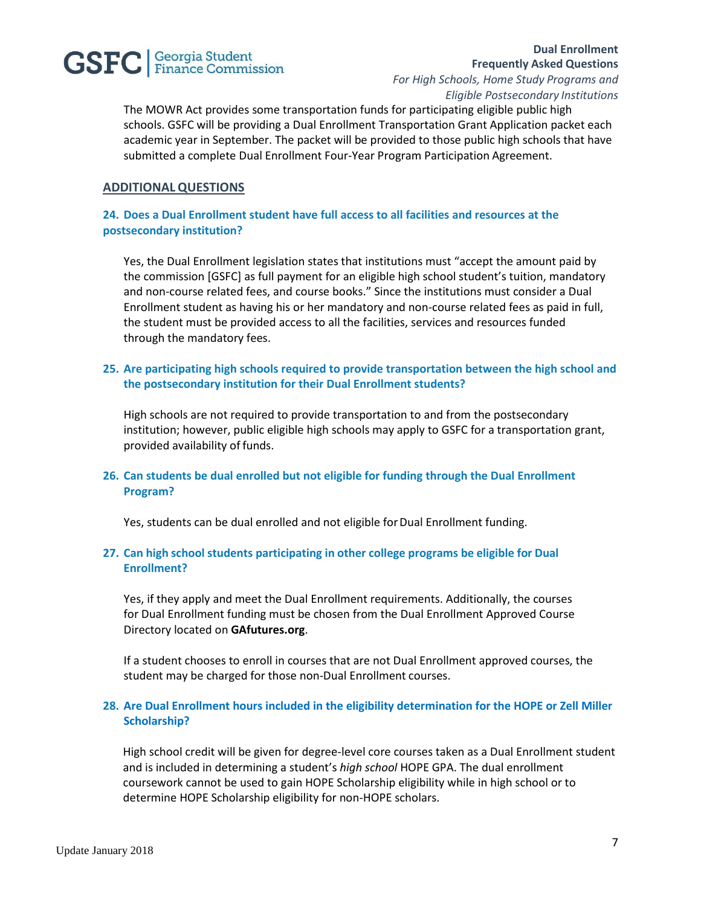

# **Dual Enrollment Frequently Asked Questions**

*For High Schools, Home Study Programs and Eligible Postsecondary Institutions*

The MOWR Act provides some transportation funds for participating eligible public high schools. GSFC will be providing a Dual Enrollment Transportation Grant Application packet each academic year in September. The packet will be provided to those public high schools that have submitted a complete Dual Enrollment Four-Year Program Participation Agreement.

## **ADDITIONALQUESTIONS**

## **24. Does a Dual Enrollment student have full access to all facilities and resources at the postsecondary institution?**

Yes, the Dual Enrollment legislation states that institutions must "accept the amount paid by the commission [GSFC] as full payment for an eligible high school student's tuition, mandatory and non-course related fees, and course books." Since the institutions must consider a Dual Enrollment student as having his or her mandatory and non-course related fees as paid in full, the student must be provided access to all the facilities, services and resources funded through the mandatory fees.

## **25. Are participating high schools required to provide transportation between the high school and the postsecondary institution for their Dual Enrollment students?**

High schools are not required to provide transportation to and from the postsecondary institution; however, public eligible high schools may apply to GSFC for a transportation grant, provided availability of funds.

## **26. Can students be dual enrolled but not eligible for funding through the Dual Enrollment Program?**

Yes, students can be dual enrolled and not eligible for Dual Enrollment funding.

## **27. Can high school students participating in other college programs be eligible for Dual Enrollment?**

Yes, if they apply and meet the Dual Enrollment requirements. Additionally, the courses for Dual Enrollment funding must be chosen from the Dual Enrollment Approved Course Directory located on **GAfutures.org**.

If a student chooses to enroll in courses that are not Dual Enrollment approved courses, the student may be charged for those non-Dual Enrollment courses.

## **28. Are Dual Enrollment hours included in the eligibility determination for the HOPE or Zell Miller Scholarship?**

High school credit will be given for degree-level core courses taken as a Dual Enrollment student and is included in determining a student's *high school* HOPE GPA. The dual enrollment coursework cannot be used to gain HOPE Scholarship eligibility while in high school or to determine HOPE Scholarship eligibility for non-HOPE scholars.